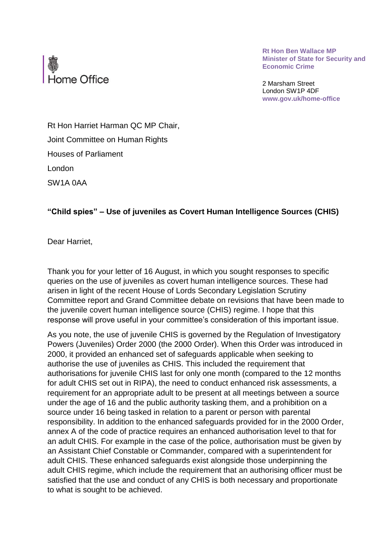

**Rt Hon Ben Wallace MP Minister of State for Security and Economic Crime** 

2 Marsham Street London SW1P 4DF **www.gov.uk/home-office** 

Rt Hon Harriet Harman QC MP Chair, Joint Committee on Human Rights Houses of Parliament London SW1A 0AA

## **"Child spies" – Use of juveniles as Covert Human Intelligence Sources (CHIS)**

Dear Harriet,

 queries on the use of juveniles as covert human intelligence sources. These had arisen in light of the recent House of Lords Secondary Legislation Scrutiny Thank you for your letter of 16 August, in which you sought responses to specific Committee report and Grand Committee debate on revisions that have been made to the juvenile covert human intelligence source (CHIS) regime. I hope that this response will prove useful in your committee's consideration of this important issue.

 As you note, the use of juvenile CHIS is governed by the Regulation of Investigatory authorisations for juvenile CHIS last for only one month (compared to the 12 months requirement for an appropriate adult to be present at all meetings between a source under the age of 16 and the public authority tasking them, and a prohibition on a source under 16 being tasked in relation to a parent or person with parental responsibility. In addition to the enhanced safeguards provided for in the 2000 Order, annex A of the code of practice requires an enhanced authorisation level to that for Powers (Juveniles) Order 2000 (the 2000 Order). When this Order was introduced in 2000, it provided an enhanced set of safeguards applicable when seeking to authorise the use of juveniles as CHIS. This included the requirement that for adult CHIS set out in RIPA), the need to conduct enhanced risk assessments, a an adult CHIS. For example in the case of the police, authorisation must be given by an Assistant Chief Constable or Commander, compared with a superintendent for adult CHIS. These enhanced safeguards exist alongside those underpinning the adult CHIS regime, which include the requirement that an authorising officer must be satisfied that the use and conduct of any CHIS is both necessary and proportionate to what is sought to be achieved.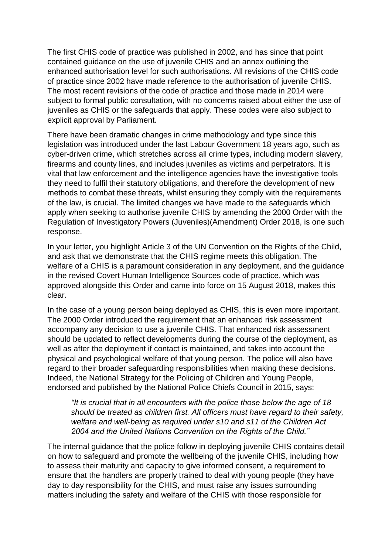contained guidance on the use of juvenile CHIS and an annex outlining the The most recent revisions of the code of practice and those made in 2014 were subject to formal public consultation, with no concerns raised about either the use of The first CHIS code of practice was published in 2002, and has since that point enhanced authorisation level for such authorisations. All revisions of the CHIS code of practice since 2002 have made reference to the authorisation of juvenile CHIS. juveniles as CHIS or the safeguards that apply. These codes were also subject to explicit approval by Parliament.

 they need to fulfil their statutory obligations, and therefore the development of new of the law, is crucial. The limited changes we have made to the safeguards which There have been dramatic changes in crime methodology and type since this legislation was introduced under the last Labour Government 18 years ago, such as cyber-driven crime, which stretches across all crime types, including modern slavery, firearms and county lines, and includes juveniles as victims and perpetrators. It is vital that law enforcement and the intelligence agencies have the investigative tools methods to combat these threats, whilst ensuring they comply with the requirements apply when seeking to authorise juvenile CHIS by amending the 2000 Order with the Regulation of Investigatory Powers (Juveniles)(Amendment) Order 2018, is one such response.

 In your letter, you highlight Article 3 of the UN Convention on the Rights of the Child, and ask that we demonstrate that the CHIS regime meets this obligation. The welfare of a CHIS is a paramount consideration in any deployment, and the guidance in the revised Covert Human Intelligence Sources code of practice, which was approved alongside this Order and came into force on 15 August 2018, makes this clear.

In the case of a young person being deployed as CHIS, this is even more important. The 2000 Order introduced the requirement that an enhanced risk assessment accompany any decision to use a juvenile CHIS. That enhanced risk assessment should be updated to reflect developments during the course of the deployment, as well as after the deployment if contact is maintained, and takes into account the physical and psychological welfare of that young person. The police will also have regard to their broader safeguarding responsibilities when making these decisions. Indeed, the National Strategy for the Policing of Children and Young People, endorsed and published by the National Police Chiefs Council in 2015, says:

 *"It is crucial that in all encounters with the police those below the age of 18 should be treated as children first. All officers must have regard to their safety,*  welfare and well-being as required under s10 and s11 of the Children Act *2004 and the United Nations Convention on the Rights of the Child."* 

 The internal guidance that the police follow in deploying juvenile CHIS contains detail on how to safeguard and promote the wellbeing of the juvenile CHIS, including how to assess their maturity and capacity to give informed consent, a requirement to ensure that the handlers are properly trained to deal with young people (they have day to day responsibility for the CHIS, and must raise any issues surrounding matters including the safety and welfare of the CHIS with those responsible for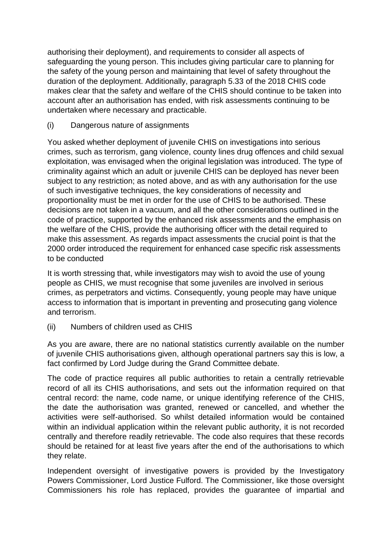makes clear that the safety and welfare of the CHIS should continue to be taken into authorising their deployment), and requirements to consider all aspects of safeguarding the young person. This includes giving particular care to planning for the safety of the young person and maintaining that level of safety throughout the duration of the deployment. Additionally, paragraph 5.33 of the 2018 CHIS code account after an authorisation has ended, with risk assessments continuing to be undertaken where necessary and practicable.

## (i) Dangerous nature of assignments

 criminality against which an adult or juvenile CHIS can be deployed has never been subject to any restriction; as noted above, and as with any authorisation for the use proportionality must be met in order for the use of CHIS to be authorised. These decisions are not taken in a vacuum, and all the other considerations outlined in the code of practice, supported by the enhanced risk assessments and the emphasis on You asked whether deployment of juvenile CHIS on investigations into serious crimes, such as terrorism, gang violence, county lines drug offences and child sexual exploitation, was envisaged when the original legislation was introduced. The type of of such investigative techniques, the key considerations of necessity and the welfare of the CHIS, provide the authorising officer with the detail required to make this assessment. As regards impact assessments the crucial point is that the 2000 order introduced the requirement for enhanced case specific risk assessments to be conducted

It is worth stressing that, while investigators may wish to avoid the use of young people as CHIS, we must recognise that some juveniles are involved in serious crimes, as perpetrators and victims. Consequently, young people may have unique access to information that is important in preventing and prosecuting gang violence and terrorism.

(ii) Numbers of children used as CHIS

 As you are aware, there are no national statistics currently available on the number of juvenile CHIS authorisations given, although operational partners say this is low, a fact confirmed by Lord Judge during the Grand Committee debate.

 The code of practice requires all public authorities to retain a centrally retrievable record of all its CHIS authorisations, and sets out the information required on that central record: the name, code name, or unique identifying reference of the CHIS, the date the authorisation was granted, renewed or cancelled, and whether the activities were self-authorised. So whilst detailed information would be contained within an individual application within the relevant public authority, it is not recorded centrally and therefore readily retrievable. The code also requires that these records should be retained for at least five years after the end of the authorisations to which they relate.

 Independent oversight of investigative powers is provided by the Investigatory Powers Commissioner, Lord Justice Fulford. The Commissioner, like those oversight Commissioners his role has replaced, provides the guarantee of impartial and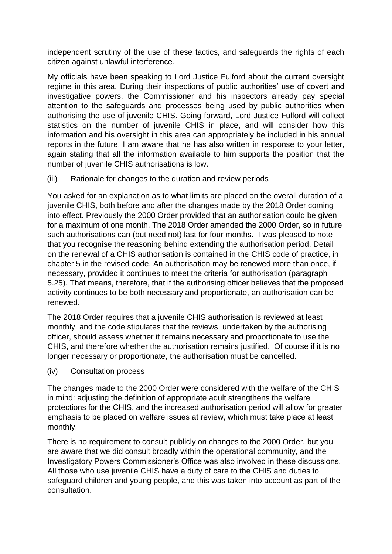independent scrutiny of the use of these tactics, and safeguards the rights of each citizen against unlawful interference.

 My officials have been speaking to Lord Justice Fulford about the current oversight regime in this area. During their inspections of public authorities' use of covert and investigative powers, the Commissioner and his inspectors already pay special attention to the safeguards and processes being used by public authorities when authorising the use of juvenile CHIS. Going forward, Lord Justice Fulford will collect statistics on the number of juvenile CHIS in place, and will consider how this information and his oversight in this area can appropriately be included in his annual reports in the future. I am aware that he has also written in response to your letter, again stating that all the information available to him supports the position that the number of juvenile CHIS authorisations is low.

(iii) Rationale for changes to the duration and review periods

 You asked for an explanation as to what limits are placed on the overall duration of a such authorisations can (but need not) last for four months. I was pleased to note on the renewal of a CHIS authorisation is contained in the CHIS code of practice, in chapter 5 in the revised code. An authorisation may be renewed more than once, if necessary, provided it continues to meet the criteria for authorisation (paragraph 5.25). That means, therefore, that if the authorising officer believes that the proposed activity continues to be both necessary and proportionate, an authorisation can be juvenile CHIS, both before and after the changes made by the 2018 Order coming into effect. Previously the 2000 Order provided that an authorisation could be given for a maximum of one month. The 2018 Order amended the 2000 Order, so in future that you recognise the reasoning behind extending the authorisation period. Detail renewed.

The 2018 Order requires that a juvenile CHIS authorisation is reviewed at least monthly, and the code stipulates that the reviews, undertaken by the authorising officer, should assess whether it remains necessary and proportionate to use the CHIS, and therefore whether the authorisation remains justified. Of course if it is no longer necessary or proportionate, the authorisation must be cancelled.

(iv) Consultation process

The changes made to the 2000 Order were considered with the welfare of the CHIS in mind: adjusting the definition of appropriate adult strengthens the welfare protections for the CHIS, and the increased authorisation period will allow for greater emphasis to be placed on welfare issues at review, which must take place at least monthly.

There is no requirement to consult publicly on changes to the 2000 Order, but you are aware that we did consult broadly within the operational community, and the Investigatory Powers Commissioner's Office was also involved in these discussions. All those who use juvenile CHIS have a duty of care to the CHIS and duties to safeguard children and young people, and this was taken into account as part of the consultation.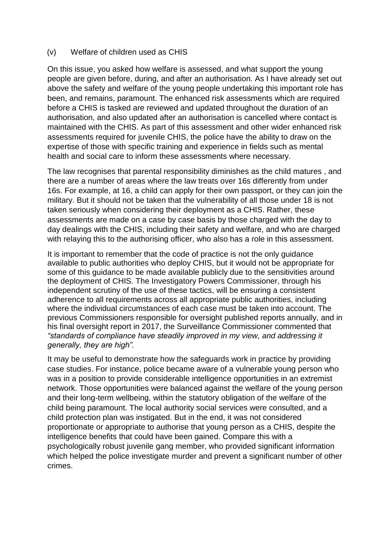## (v) Welfare of children used as CHIS

 before a CHIS is tasked are reviewed and updated throughout the duration of an expertise of those with specific training and experience in fields such as mental On this issue, you asked how welfare is assessed, and what support the young people are given before, during, and after an authorisation. As I have already set out above the safety and welfare of the young people undertaking this important role has been, and remains, paramount. The enhanced risk assessments which are required authorisation, and also updated after an authorisation is cancelled where contact is maintained with the CHIS. As part of this assessment and other wider enhanced risk assessments required for juvenile CHIS, the police have the ability to draw on the health and social care to inform these assessments where necessary.

The law recognises that parental responsibility diminishes as the child matures , and there are a number of areas where the law treats over 16s differently from under 16s. For example, at 16, a child can apply for their own passport, or they can join the military. But it should not be taken that the vulnerability of all those under 18 is not taken seriously when considering their deployment as a CHIS. Rather, these assessments are made on a case by case basis by those charged with the day to day dealings with the CHIS, including their safety and welfare, and who are charged with relaying this to the authorising officer, who also has a role in this assessment.

 It is important to remember that the code of practice is not the only guidance independent scrutiny of the use of these tactics, will be ensuring a consistent available to public authorities who deploy CHIS, but it would not be appropriate for some of this guidance to be made available publicly due to the sensitivities around the deployment of CHIS. The Investigatory Powers Commissioner, through his adherence to all requirements across all appropriate public authorities, including where the individual circumstances of each case must be taken into account. The previous Commissioners responsible for oversight published reports annually, and in his final oversight report in 2017, the Surveillance Commissioner commented that *"standards of compliance have steadily improved in my view, and addressing it generally, they are high".* 

 proportionate or appropriate to authorise that young person as a CHIS, despite the It may be useful to demonstrate how the safeguards work in practice by providing case studies. For instance, police became aware of a vulnerable young person who was in a position to provide considerable intelligence opportunities in an extremist network. Those opportunities were balanced against the welfare of the young person and their long-term wellbeing, within the statutory obligation of the welfare of the child being paramount. The local authority social services were consulted, and a child protection plan was instigated. But in the end, it was not considered intelligence benefits that could have been gained. Compare this with a psychologically robust juvenile gang member, who provided significant information which helped the police investigate murder and prevent a significant number of other crimes.